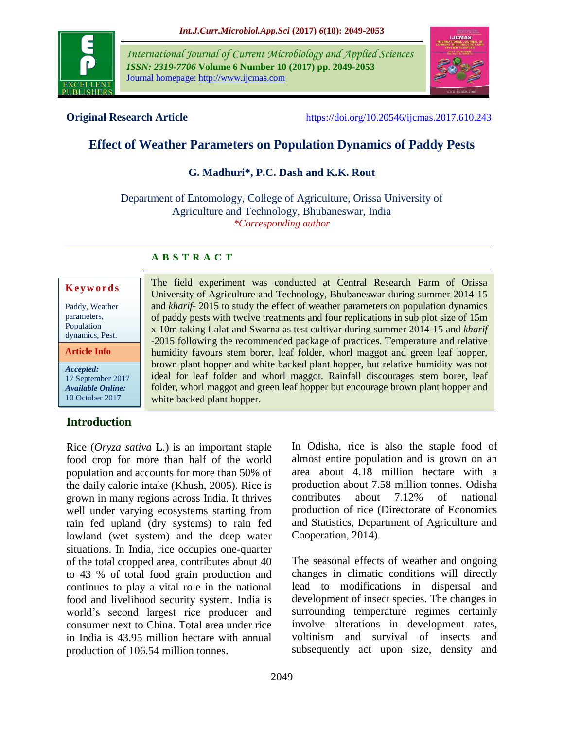

*International Journal of Current Microbiology and Applied Sciences ISSN: 2319-7706* **Volume 6 Number 10 (2017) pp. 2049-2053** Journal homepage: http://www.ijcmas.com



**Original Research Article** <https://doi.org/10.20546/ijcmas.2017.610.243>

# **Effect of Weather Parameters on Population Dynamics of Paddy Pests**

## **G. Madhuri\*, P.C. Dash and K.K. Rout**

Department of Entomology, College of Agriculture, Orissa University of Agriculture and Technology, Bhubaneswar, India *\*Corresponding author*

## **A B S T R A C T**

#### **K e y w o r d s**

| Paddy, Weather  |  |
|-----------------|--|
| parameters,     |  |
| Population      |  |
| dynamics, Pest. |  |
|                 |  |

**Article Info**

*Accepted:*  17 September 2017 *Available Online:* 10 October 2017

## **Introduction**

Rice (*Oryza sativa* L.) is an important staple food crop for more than half of the world population and accounts for more than 50% of the daily calorie intake (Khush, 2005). Rice is grown in many regions across India. It thrives well under varying ecosystems starting from rain fed upland (dry systems) to rain fed lowland (wet system) and the deep water situations. In India, rice occupies one-quarter of the total cropped area, contributes about 40 to 43 % of total food grain production and continues to play a vital role in the national food and livelihood security system. India is world's second largest rice producer and consumer next to China. Total area under rice in India is 43.95 million hectare with annual production of 106.54 million tonnes.

The field experiment was conducted at Central Research Farm of Orissa University of Agriculture and Technology, Bhubaneswar during summer 2014-15 and *kharif*- 2015 to study the effect of weather parameters on population dynamics of paddy pests with twelve treatments and four replications in sub plot size of 15m x 10m taking Lalat and Swarna as test cultivar during summer 2014-15 and *kharif*  -2015 following the recommended package of practices. Temperature and relative humidity favours stem borer, leaf folder, whorl maggot and green leaf hopper, brown plant hopper and white backed plant hopper, but relative humidity was not ideal for leaf folder and whorl maggot. Rainfall discourages stem borer, leaf folder, whorl maggot and green leaf hopper but encourage brown plant hopper and white backed plant hopper.

> In Odisha, rice is also the staple food of almost entire population and is grown on an area about 4.18 million hectare with a production about 7.58 million tonnes. Odisha contributes about 7.12% of national production of rice (Directorate of Economics and Statistics, Department of Agriculture and Cooperation, 2014).

> The seasonal effects of weather and ongoing changes in climatic conditions will directly lead to modifications in dispersal and development of insect species. The changes in surrounding temperature regimes certainly involve alterations in development rates, voltinism and survival of insects and subsequently act upon size, density and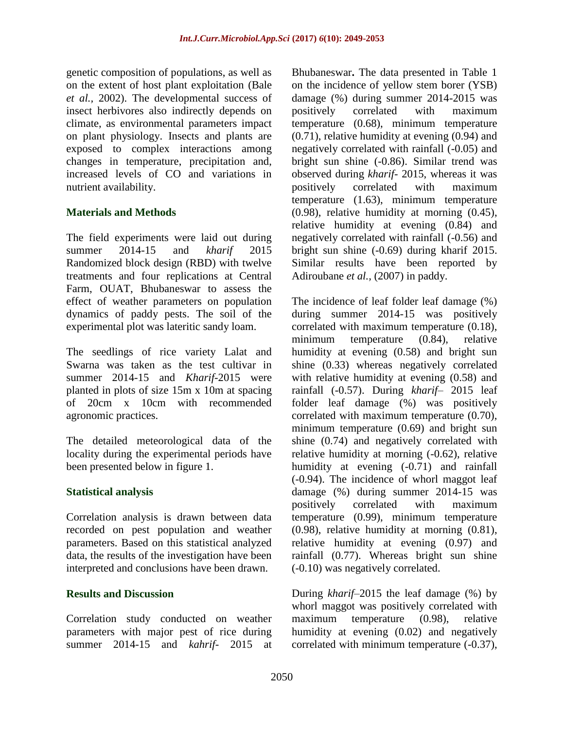genetic composition of populations, as well as on the extent of host plant exploitation (Bale *et al.,* 2002). The developmental success of insect herbivores also indirectly depends on climate, as environmental parameters impact on plant physiology. Insects and plants are exposed to complex interactions among changes in temperature, precipitation and, increased levels of CO and variations in nutrient availability.

## **Materials and Methods**

The field experiments were laid out during summer 2014-15 and *kharif* 2015 Randomized block design (RBD) with twelve treatments and four replications at Central Farm, OUAT, Bhubaneswar to assess the effect of weather parameters on population dynamics of paddy pests. The soil of the experimental plot was lateritic sandy loam.

The seedlings of rice variety Lalat and Swarna was taken as the test cultivar in summer 2014-15 and *Kharif-*2015 were planted in plots of size 15m x 10m at spacing of 20cm x 10cm with recommended agronomic practices.

The detailed meteorological data of the locality during the experimental periods have been presented below in figure 1.

## **Statistical analysis**

Correlation analysis is drawn between data recorded on pest population and weather parameters. Based on this statistical analyzed data, the results of the investigation have been interpreted and conclusions have been drawn.

## **Results and Discussion**

Correlation study conducted on weather parameters with major pest of rice during summer 2014-15 and *kahrif*- 2015 at

Bhubaneswar**.** The data presented in Table 1 on the incidence of yellow stem borer (YSB) damage (%) during summer 2014-2015 was positively correlated with maximum temperature (0.68), minimum temperature (0.71), relative humidity at evening (0.94) and negatively correlated with rainfall (-0.05) and bright sun shine (-0.86). Similar trend was observed during *kharif*- 2015, whereas it was positively correlated with maximum temperature (1.63), minimum temperature (0.98), relative humidity at morning (0.45), relative humidity at evening (0.84) and negatively correlated with rainfall (-0.56) and bright sun shine (-0.69) during kharif 2015. Similar results have been reported by Adiroubane *et al.,* (2007) in paddy.

The incidence of leaf folder leaf damage (%) during summer 2014-15 was positively correlated with maximum temperature (0.18), minimum temperature (0.84), relative humidity at evening (0.58) and bright sun shine (0.33) whereas negatively correlated with relative humidity at evening  $(0.58)$  and rainfall (-0.57). During *kharif*– 2015 leaf folder leaf damage (%) was positively correlated with maximum temperature (0.70), minimum temperature (0.69) and bright sun shine (0.74) and negatively correlated with relative humidity at morning (-0.62), relative humidity at evening  $(-0.71)$  and rainfall (-0.94). The incidence of whorl maggot leaf damage (%) during summer 2014-15 was positively correlated with maximum temperature (0.99), minimum temperature (0.98), relative humidity at morning (0.81), relative humidity at evening (0.97) and rainfall (0.77). Whereas bright sun shine (-0.10) was negatively correlated.

During *kharif*–2015 the leaf damage (%) by whorl maggot was positively correlated with maximum temperature (0.98), relative humidity at evening (0.02) and negatively correlated with minimum temperature (-0.37),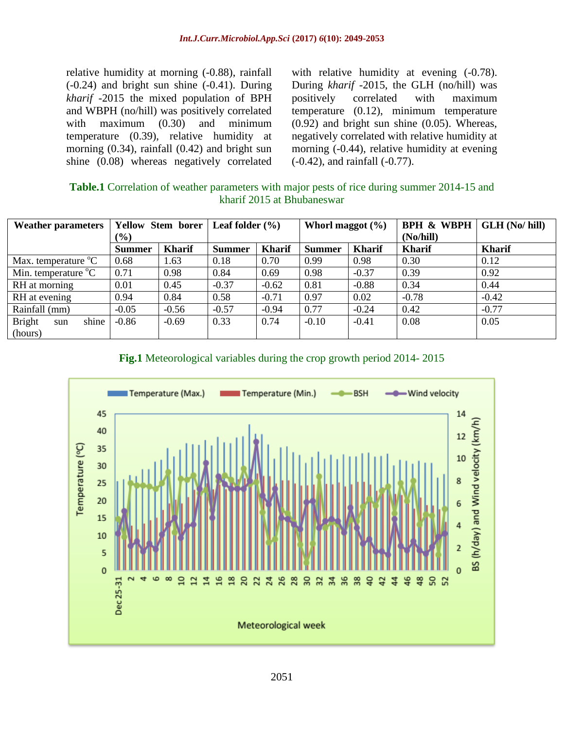relative humidity at morning (-0.88), rainfall (-0.24) and bright sun shine (-0.41). During *kharif* -2015 the mixed population of BPH and WBPH (no/hill) was positively correlated with maximum (0.30) and minimum temperature (0.39), relative humidity at morning (0.34), rainfall (0.42) and bright sun shine (0.08) whereas negatively correlated with relative humidity at evening  $(-0.78)$ . During *kharif* -2015, the GLH (no/hill) was positively correlated with maximum temperature (0.12), minimum temperature (0.92) and bright sun shine (0.05). Whereas, negatively correlated with relative humidity at morning (-0.44), relative humidity at evening (-0.42), and rainfall (-0.77).

## **Table.1** Correlation of weather parameters with major pests of rice during summer 2014-15 and kharif 2015 at Bhubaneswar

| <b>Weather parameters</b>      | <b>Yellow Stem borer</b> |               | Leaf folder $(\% )$ |               | Whorl maggot $(\% )$ |               | <b>BPH &amp; WBPH</b> $\vert$ GLH (No/hill) |               |
|--------------------------------|--------------------------|---------------|---------------------|---------------|----------------------|---------------|---------------------------------------------|---------------|
|                                | (0/0)                    |               |                     |               |                      |               | (No/hill)                                   |               |
|                                | <b>Summer</b>            | <b>Kharif</b> | <b>Summer</b>       | <b>Kharif</b> | <b>Summer</b>        | <b>Kharif</b> | <b>Kharif</b>                               | <b>Kharif</b> |
| Max. temperature ${}^{\circ}C$ | 0.68                     | 1.63          | 0.18                | 0.70          | 0.99                 | 0.98          | 0.30                                        | 0.12          |
| Min. temperature $\mathrm{C}$  | 0.71                     | 0.98          | 0.84                | 0.69          | 0.98                 | $-0.37$       | 0.39                                        | 0.92          |
| RH at morning                  | 0.01                     | 0.45          | $-0.37$             | $-0.62$       | 0.81                 | $-0.88$       | 0.34                                        | 0.44          |
| RH at evening                  | 0.94                     | 0.84          | 0.58                | $-0.71$       | 0.97                 | 0.02          | $-0.78$                                     | $-0.42$       |
| Rainfall (mm)                  | $-0.05$                  | $-0.56$       | $-0.57$             | $-0.94$       | 0.77                 | $-0.24$       | 0.42                                        | $-0.77$       |
| <b>Bright</b><br>shine<br>sun  | $-0.86$                  | $-0.69$       | 0.33                | 0.74          | $-0.10$              | $-0.41$       | 0.08                                        | 0.05          |
| (hours)                        |                          |               |                     |               |                      |               |                                             |               |



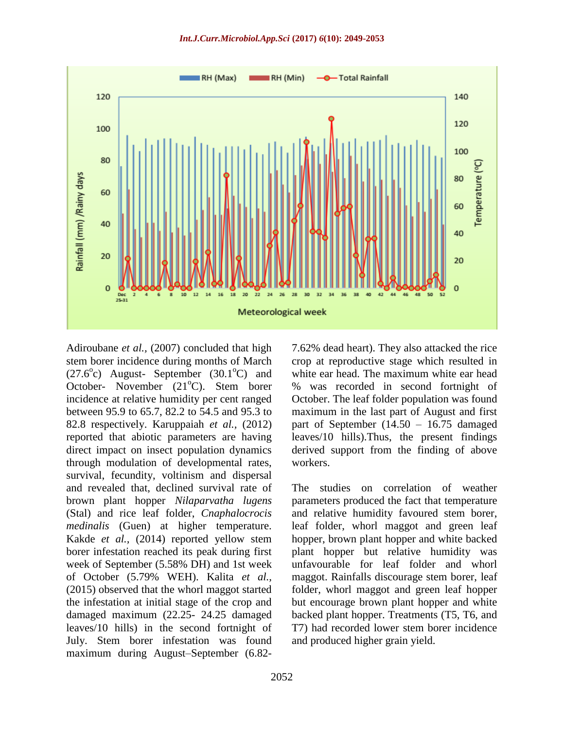

Adiroubane *et al.,* (2007) concluded that high stem borer incidence during months of March  $(27.6^{\circ}c)$  August- September  $(30.1^{\circ}C)$  and October- November (21<sup>o</sup>C). Stem borer incidence at relative humidity per cent ranged between 95.9 to 65.7, 82.2 to 54.5 and 95.3 to 82.8 respectively. Karuppaiah *et al.,* (2012) reported that abiotic parameters are having direct impact on insect population dynamics through modulation of developmental rates, survival, fecundity, voltinism and dispersal and revealed that, declined survival rate of brown plant hopper *Nilaparvatha lugens*  (Stal) and rice leaf folder, *Cnaphalocrocis medinalis* (Guen) at higher temperature. Kakde *et al.,* (2014) reported yellow stem borer infestation reached its peak during first week of September (5.58% DH) and 1st week of October (5.79% WEH). Kalita *et al.,* (2015) observed that the whorl maggot started the infestation at initial stage of the crop and damaged maximum (22.25- 24.25 damaged leaves/10 hills) in the second fortnight of July. Stem borer infestation was found maximum during August–September (6.827.62% dead heart). They also attacked the rice crop at reproductive stage which resulted in white ear head. The maximum white ear head % was recorded in second fortnight of October. The leaf folder population was found maximum in the last part of August and first part of September (14.50 – 16.75 damaged leaves/10 hills).Thus, the present findings derived support from the finding of above workers.

The studies on correlation of weather parameters produced the fact that temperature and relative humidity favoured stem borer, leaf folder, whorl maggot and green leaf hopper, brown plant hopper and white backed plant hopper but relative humidity was unfavourable for leaf folder and whorl maggot. Rainfalls discourage stem borer, leaf folder, whorl maggot and green leaf hopper but encourage brown plant hopper and white backed plant hopper. Treatments (T5, T6, and T7) had recorded lower stem borer incidence and produced higher grain yield.